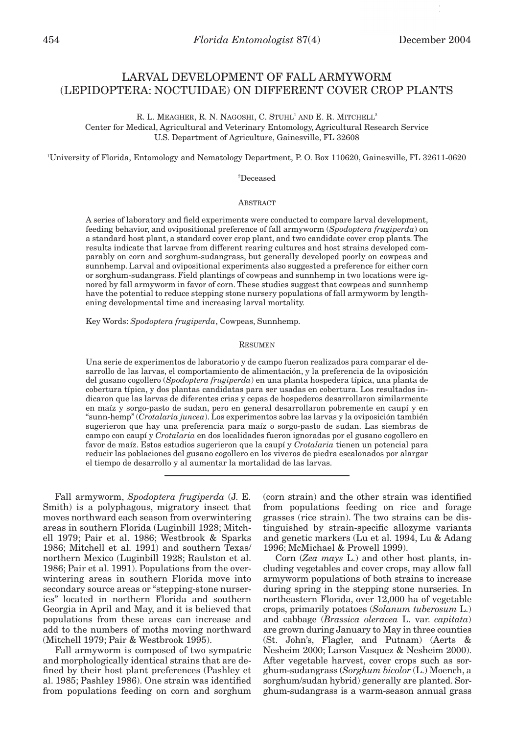# LARVAL DEVELOPMENT OF FALL ARMYWORM (LEPIDOPTERA: NOCTUIDAE) ON DIFFERENT COVER CROP PLANTS

R. L. MEAGHER, R. N. NAGOSHI, C. STUHL<sup>1</sup> AND E. R. MITCHELL<sup>2</sup> Center for Medical, Agricultural and Veterinary Entomology, Agricultural Research Service U.S. Department of Agriculture, Gainesville, FL 32608

1 University of Florida, Entomology and Nematology Department, P. O. Box 110620, Gainesville, FL 32611-0620

#### 2 Deceased

# **ABSTRACT**

A series of laboratory and field experiments were conducted to compare larval development, feeding behavior, and ovipositional preference of fall armyworm (*Spodoptera frugiperda*) on a standard host plant, a standard cover crop plant, and two candidate cover crop plants. The results indicate that larvae from different rearing cultures and host strains developed comparably on corn and sorghum-sudangrass, but generally developed poorly on cowpeas and sunnhemp. Larval and ovipositional experiments also suggested a preference for either corn or sorghum-sudangrass. Field plantings of cowpeas and sunnhemp in two locations were ignored by fall armyworm in favor of corn. These studies suggest that cowpeas and sunnhemp have the potential to reduce stepping stone nursery populations of fall armyworm by lengthening developmental time and increasing larval mortality.

Key Words: *Spodoptera frugiperda*, Cowpeas, Sunnhemp.

#### RESUMEN

Una serie de experimentos de laboratorio y de campo fueron realizados para comparar el desarrollo de las larvas, el comportamiento de alimentación, y la preferencia de la oviposición del gusano cogollero (*Spodoptera frugiperda*) en una planta hospedera típica, una planta de cobertura típica, y dos plantas candidatas para ser usadas en cobertura. Los resultados indicaron que las larvas de diferentes crias y cepas de hospederos desarrollaron similarmente en maíz y sorgo-pasto de sudan, pero en general desarrollaron pobremente en caupí y en "sunn-hemp" (*Crotalaria juncea*). Los experimentos sobre las larvas y la oviposición también sugerieron que hay una preferencia para maíz o sorgo-pasto de sudan. Las siembras de campo con caupí y *Crotalaria* en dos localidades fueron ignoradas por el gusano cogollero en favor de maíz. Estos estudios sugerieron que la caupí y *Crotalaria* tienen un potencial para reducir las poblaciones del gusano cogollero en los viveros de piedra escalonados por alargar el tiempo de desarrollo y al aumentar la mortalidad de las larvas.

Fall armyworm, *Spodoptera frugiperda* (J. E. Smith) is a polyphagous, migratory insect that moves northward each season from overwintering areas in southern Florida (Luginbill 1928; Mitchell 1979; Pair et al. 1986; Westbrook & Sparks 1986; Mitchell et al. 1991) and southern Texas/ northern Mexico (Luginbill 1928; Raulston et al. 1986; Pair et al. 1991). Populations from the overwintering areas in southern Florida move into secondary source areas or "stepping-stone nurseries" located in northern Florida and southern Georgia in April and May, and it is believed that populations from these areas can increase and add to the numbers of moths moving northward (Mitchell 1979; Pair & Westbrook 1995).

Fall armyworm is composed of two sympatric and morphologically identical strains that are defined by their host plant preferences (Pashley et al. 1985; Pashley 1986). One strain was identified from populations feeding on corn and sorghum (corn strain) and the other strain was identified from populations feeding on rice and forage grasses (rice strain). The two strains can be distinguished by strain-specific allozyme variants and genetic markers (Lu et al. 1994, Lu & Adang 1996; McMichael & Prowell 1999).

Corn (*Zea mays* L.) and other host plants, including vegetables and cover crops, may allow fall armyworm populations of both strains to increase during spring in the stepping stone nurseries. In northeastern Florida, over 12,000 ha of vegetable crops, primarily potatoes (*Solanum tuberosum* L.) and cabbage (*Brassica oleracea* L. var. *capitata*) are grown during January to May in three counties (St. John's, Flagler, and Putnam) (Aerts & Nesheim 2000; Larson Vasquez & Nesheim 2000). After vegetable harvest, cover crops such as sorghum-sudangrass (*Sorghum bicolor* (L.) Moench, a sorghum/sudan hybrid) generally are planted. Sorghum-sudangrass is a warm-season annual grass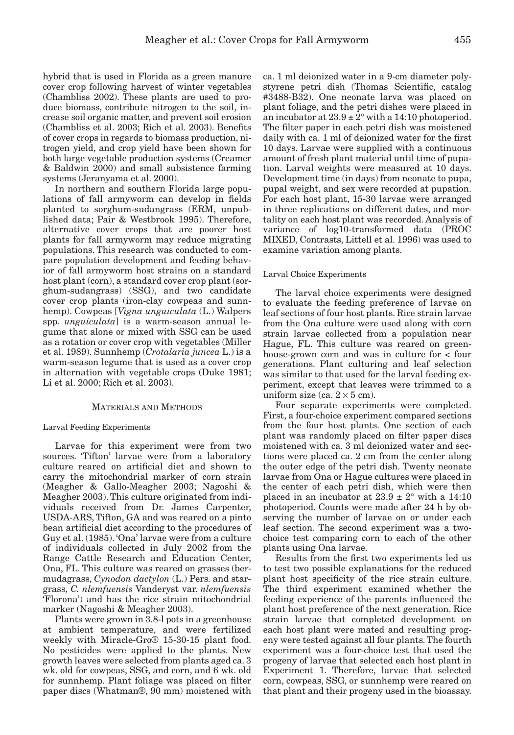hybrid that is used in Florida as a green manure cover crop following harvest of winter vegetables (Chambliss 2002). These plants are used to produce biomass, contribute nitrogen to the soil, increase soil organic matter, and prevent soil erosion (Chambliss et al. 2003; Rich et al. 2003). Benefits of cover crops in regards to biomass production, nitrogen yield, and crop yield have been shown for both large vegetable production systems (Creamer & Baldwin 2000) and small subsistence farming systems (Jeranyama et al. 2000).

In northern and southern Florida large populations of fall armyworm can develop in fields planted to sorghum-sudangrass (ERM, unpublished data; Pair & Westbrook 1995). Therefore, alternative cover crops that are poorer host plants for fall armyworm may reduce migrating populations. This research was conducted to compare population development and feeding behavior of fall armyworm host strains on a standard host plant (corn), a standard cover crop plant (sorghum-sudangrass) (SSG), and two candidate cover crop plants (iron-clay cowpeas and sunnhemp). Cowpeas [*Vigna unguiculata* (L.) Walpers spp. *unguiculata*] is a warm-season annual legume that alone or mixed with SSG can be used as a rotation or cover crop with vegetables (Miller et al. 1989). Sunnhemp (*Crotalaria juncea* L.) is a warm-season legume that is used as a cover crop in alternation with vegetable crops (Duke 1981; Li et al. 2000; Rich et al. 2003).

# MATERIALS AND METHODS

#### Larval Feeding Experiments

Larvae for this experiment were from two sources. 'Tifton' larvae were from a laboratory culture reared on artificial diet and shown to carry the mitochondrial marker of corn strain (Meagher & Gallo-Meagher 2003; Nagoshi & Meagher 2003). This culture originated from individuals received from Dr. James Carpenter, USDA-ARS, Tifton, GA and was reared on a pinto bean artificial diet according to the procedures of Guy et al. (1985). 'Ona' larvae were from a culture of individuals collected in July 2002 from the Range Cattle Research and Education Center, Ona, FL. This culture was reared on grasses (bermudagrass, *Cynodon dactylon* (L.) Pers. and stargrass, *C. nlemfuensis* Vanderyst var. *nlemfuensis* 'Florona') and has the rice strain mitochondrial marker (Nagoshi & Meagher 2003).

Plants were grown in 3.8-l pots in a greenhouse at ambient temperature, and were fertilized weekly with Miracle-Gro® 15-30-15 plant food. No pesticides were applied to the plants. New growth leaves were selected from plants aged ca. 3 wk. old for cowpeas, SSG, and corn, and 6 wk. old for sunnhemp. Plant foliage was placed on filter paper discs (Whatman®, 90 mm) moistened with

ca. 1 ml deionized water in a 9-cm diameter polystyrene petri dish (Thomas Scientific, catalog #3488-B32). One neonate larva was placed on plant foliage, and the petri dishes were placed in an incubator at  $23.9 \pm 2^{\circ}$  with a 14:10 photoperiod. The filter paper in each petri dish was moistened daily with ca. 1 ml of deionized water for the first 10 days. Larvae were supplied with a continuous amount of fresh plant material until time of pupation. Larval weights were measured at 10 days. Development time (in days) from neonate to pupa, pupal weight, and sex were recorded at pupation. For each host plant, 15-30 larvae were arranged in three replications on different dates, and mortality on each host plant was recorded. Analysis of variance of log10-transformed data (PROC MIXED, Contrasts, Littell et al. 1996) was used to examine variation among plants.

# Larval Choice Experiments

The larval choice experiments were designed to evaluate the feeding preference of larvae on leaf sections of four host plants. Rice strain larvae from the Ona culture were used along with corn strain larvae collected from a population near Hague, FL. This culture was reared on greenhouse-grown corn and was in culture for < four generations. Plant culturing and leaf selection was similar to that used for the larval feeding experiment, except that leaves were trimmed to a uniform size (ca.  $2 \times 5$  cm).

Four separate experiments were completed. First, a four-choice experiment compared sections from the four host plants. One section of each plant was randomly placed on filter paper discs moistened with ca. 3 ml deionized water and sections were placed ca. 2 cm from the center along the outer edge of the petri dish. Twenty neonate larvae from Ona or Hague cultures were placed in the center of each petri dish, which were then placed in an incubator at  $23.9 \pm 2^{\circ}$  with a 14:10 photoperiod. Counts were made after 24 h by observing the number of larvae on or under each leaf section. The second experiment was a twochoice test comparing corn to each of the other plants using Ona larvae.

Results from the first two experiments led us to test two possible explanations for the reduced plant host specificity of the rice strain culture. The third experiment examined whether the feeding experience of the parents influenced the plant host preference of the next generation. Rice strain larvae that completed development on each host plant were mated and resulting progeny were tested against all four plants. The fourth experiment was a four-choice test that used the progeny of larvae that selected each host plant in Experiment 1. Therefore, larvae that selected corn, cowpeas, SSG, or sunnhemp were reared on that plant and their progeny used in the bioassay.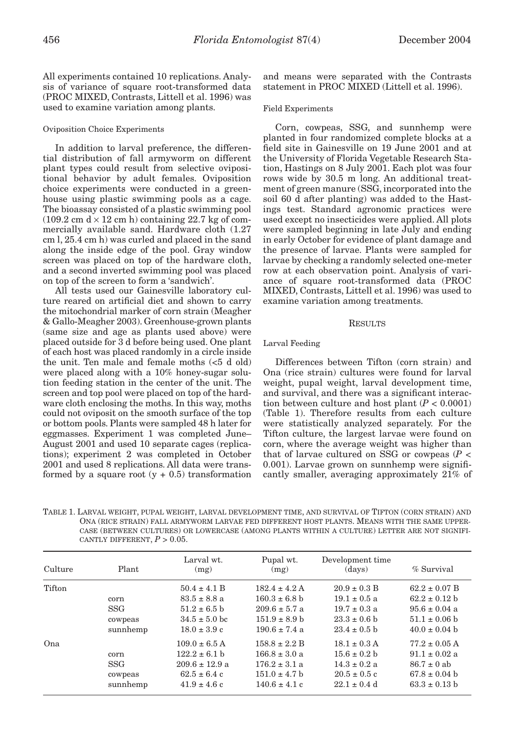All experiments contained 10 replications. Analysis of variance of square root-transformed data (PROC MIXED, Contrasts, Littell et al. 1996) was used to examine variation among plants.

### Oviposition Choice Experiments

In addition to larval preference, the differential distribution of fall armyworm on different plant types could result from selective ovipositional behavior by adult females. Oviposition choice experiments were conducted in a greenhouse using plastic swimming pools as a cage. The bioassay consisted of a plastic swimming pool  $(109.2 \text{ cm}) \times 12 \text{ cm}$  h) containing 22.7 kg of commercially available sand. Hardware cloth (1.27 cm l, 25.4 cm h) was curled and placed in the sand along the inside edge of the pool. Gray window screen was placed on top of the hardware cloth, and a second inverted swimming pool was placed on top of the screen to form a 'sandwich'.

All tests used our Gainesville laboratory culture reared on artificial diet and shown to carry the mitochondrial marker of corn strain (Meagher & Gallo-Meagher 2003). Greenhouse-grown plants (same size and age as plants used above) were placed outside for 3 d before being used. One plant of each host was placed randomly in a circle inside the unit. Ten male and female moths (<5 d old) were placed along with a 10% honey-sugar solution feeding station in the center of the unit. The screen and top pool were placed on top of the hardware cloth enclosing the moths. In this way, moths could not oviposit on the smooth surface of the top or bottom pools. Plants were sampled 48 h later for eggmasses. Experiment 1 was completed June– August 2001 and used 10 separate cages (replications); experiment 2 was completed in October 2001 and used 8 replications. All data were transformed by a square root  $(y + 0.5)$  transformation

and means were separated with the Contrasts statement in PROC MIXED (Littell et al. 1996).

## Field Experiments

Corn, cowpeas, SSG, and sunnhemp were planted in four randomized complete blocks at a field site in Gainesville on 19 June 2001 and at the University of Florida Vegetable Research Station, Hastings on 8 July 2001. Each plot was four rows wide by 30.5 m long. An additional treatment of green manure (SSG, incorporated into the soil 60 d after planting) was added to the Hastings test. Standard agronomic practices were used except no insecticides were applied. All plots were sampled beginning in late July and ending in early October for evidence of plant damage and the presence of larvae. Plants were sampled for larvae by checking a randomly selected one-meter row at each observation point. Analysis of variance of square root-transformed data (PROC MIXED, Contrasts, Littell et al. 1996) was used to examine variation among treatments.

## RESULTS

## Larval Feeding

Differences between Tifton (corn strain) and Ona (rice strain) cultures were found for larval weight, pupal weight, larval development time, and survival, and there was a significant interaction between culture and host plant  $(P < 0.0001)$ (Table 1). Therefore results from each culture were statistically analyzed separately. For the Tifton culture, the largest larvae were found on corn, where the average weight was higher than that of larvae cultured on SSG or cowpeas (*P* < 0.001). Larvae grown on sunnhemp were significantly smaller, averaging approximately 21% of

TABLE 1. LARVAL WEIGHT, PUPAL WEIGHT, LARVAL DEVELOPMENT TIME, AND SURVIVAL OF TIFTON (CORN STRAIN) AND ONA (RICE STRAIN) FALL ARMYWORM LARVAE FED DIFFERENT HOST PLANTS. MEANS WITH THE SAME UPPER-CASE (BETWEEN CULTURES) OR LOWERCASE (AMONG PLANTS WITHIN A CULTURE) LETTER ARE NOT SIGNIFI-CANTLY DIFFERENT,  $P > 0.05$ .

| Culture | Plant                                     | Larval wt.<br>(mg)                                                                                   | Pupal wt.<br>(mg)                                                                                     | Development time<br>(days)                                                                       | % Survival                                                                                            |
|---------|-------------------------------------------|------------------------------------------------------------------------------------------------------|-------------------------------------------------------------------------------------------------------|--------------------------------------------------------------------------------------------------|-------------------------------------------------------------------------------------------------------|
| Tifton  | corn<br><b>SSG</b><br>cowpeas<br>sunnhemp | $50.4 \pm 4.1 B$<br>$83.5 \pm 8.8$ a<br>$51.2 \pm 6.5$ b<br>$34.5 \pm 5.0$ bc<br>$18.0 \pm 3.9$ c    | $182.4 \pm 4.2$ A<br>$160.3 \pm 6.8$ b<br>$209.6 \pm 5.7$ a<br>$151.9 \pm 8.9 h$<br>$190.6 \pm 7.4$ a | $20.9 \pm 0.3 B$<br>$19.1 \pm 0.5$ a<br>$19.7 \pm 0.3$ a<br>$23.3 \pm 0.6$ b<br>$23.4 \pm 0.5$ b | $62.2 \pm 0.07$ B<br>$62.2 \pm 0.12$ b<br>$95.6 \pm 0.04$ a<br>$51.1 \pm 0.06$ b<br>$40.0 \pm 0.04$ b |
| Ona     | corn<br><b>SSG</b><br>cowpeas<br>sunnhemp | $109.0 \pm 6.5$ A<br>$122.2 \pm 6.1$ b<br>$209.6 \pm 12.9$ a<br>$62.5 \pm 6.4$ c<br>$41.9 \pm 4.6$ c | $158.8 \pm 2.2 B$<br>$166.8 \pm 3.0 a$<br>$176.2 \pm 3.1$ a<br>$151.0 \pm 4.7$ b<br>$140.6 \pm 4.1 c$ | $18.1 \pm 0.3$ A<br>$15.6 \pm 0.2$ b<br>$14.3 \pm 0.2$ a<br>$20.5 \pm 0.5$ c<br>$22.1 \pm 0.4$ d | $77.2 \pm 0.05$ A<br>$91.1 \pm 0.02$ a<br>$86.7 \pm 0$ ab<br>$67.8 \pm 0.04$ b<br>$63.3 \pm 0.13$ b   |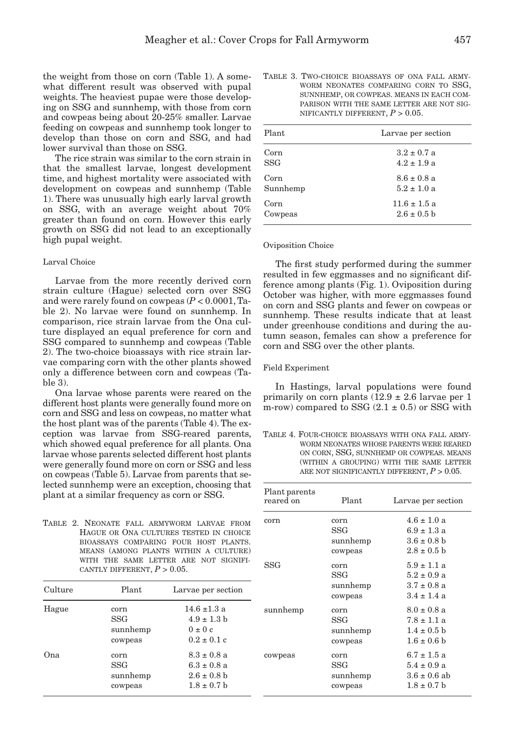the weight from those on corn (Table 1). A somewhat different result was observed with pupal weights. The heaviest pupae were those developing on SSG and sunnhemp, with those from corn and cowpeas being about 20-25% smaller. Larvae feeding on cowpeas and sunnhemp took longer to develop than those on corn and SSG, and had lower survival than those on SSG.

The rice strain was similar to the corn strain in that the smallest larvae, longest development time, and highest mortality were associated with development on cowpeas and sunnhemp (Table 1). There was unusually high early larval growth on SSG, with an average weight about 70% greater than found on corn. However this early growth on SSG did not lead to an exceptionally high pupal weight.

# Larval Choice

Larvae from the more recently derived corn strain culture (Hague) selected corn over SSG and were rarely found on cowpeas (*P* < 0.0001, Table 2). No larvae were found on sunnhemp. In comparison, rice strain larvae from the Ona culture displayed an equal preference for corn and SSG compared to sunnhemp and cowpeas (Table 2). The two-choice bioassays with rice strain larvae comparing corn with the other plants showed only a difference between corn and cowpeas (Table 3).

Ona larvae whose parents were reared on the different host plants were generally found more on corn and SSG and less on cowpeas, no matter what the host plant was of the parents (Table 4). The exception was larvae from SSG-reared parents, which showed equal preference for all plants. Ona larvae whose parents selected different host plants were generally found more on corn or SSG and less on cowpeas (Table 5). Larvae from parents that selected sunnhemp were an exception, choosing that plant at a similar frequency as corn or SSG.

TABLE 2. NEONATE FALL ARMYWORM LARVAE FROM HAGUE OR ONA CULTURES TESTED IN CHOICE BIOASSAYS COMPARING FOUR HOST PLANTS. MEANS (AMONG PLANTS WITHIN A CULTURE) WITH THE SAME LETTER ARE NOT SIGNIFI-CANTLY DIFFERENT,  $P > 0.05$ .

| Culture | Plant                                     | Larvae per section                                                       |
|---------|-------------------------------------------|--------------------------------------------------------------------------|
| Hague   | corn<br><b>SSG</b><br>sunnhemp<br>cowpeas | $14.6 \pm 1.3$ a<br>$4.9 \pm 1.3$ b<br>$0 \pm 0 c$<br>$0.2 \pm 0.1$ c    |
| Ona     | corn<br>SSG<br>sunnhemp<br>cowpeas        | $8.3 \pm 0.8$ a<br>$6.3 \pm 0.8$ a<br>$2.6 \pm 0.8$ b<br>$1.8 \pm 0.7$ b |

TABLE 3. TWO-CHOICE BIOASSAYS OF ONA FALL ARMY-WORM NEONATES COMPARING CORN TO SSG, SUNNHEMP, OR COWPEAS. MEANS IN EACH COM-PARISON WITH THE SAME LETTER ARE NOT SIG-NIFICANTLY DIFFERENT,  $P > 0.05$ .

| Plant      | Larvae per section |
|------------|--------------------|
| Corn       | $3.2 \pm 0.7$ a    |
| <b>SSG</b> | $4.2 \pm 1.9$ a    |
| Corn       | $8.6 \pm 0.8$ a    |
| Sunnhemp   | $5.2 \pm 1.0$ a    |
| Corn       | $11.6 \pm 1.5$ a   |
| Cowpeas    | $2.6 \pm 0.5$ b    |

#### Oviposition Choice

The first study performed during the summer resulted in few eggmasses and no significant difference among plants (Fig. 1). Oviposition during October was higher, with more eggmasses found on corn and SSG plants and fewer on cowpeas or sunnhemp. These results indicate that at least under greenhouse conditions and during the autumn season, females can show a preference for corn and SSG over the other plants.

#### Field Experiment

In Hastings, larval populations were found primarily on corn plants  $(12.9 \pm 2.6)$  larvae per 1 m-row) compared to SSG  $(2.1 \pm 0.5)$  or SSG with

TABLE 4. FOUR-CHOICE BIOASSAYS WITH ONA FALL ARMY-WORM NEONATES WHOSE PARENTS WERE REARED ON CORN, SSG, SUNNHEMP OR COWPEAS. MEANS (WITHIN A GROUPING) WITH THE SAME LETTER ARE NOT SIGNIFICANTLY DIFFERENT,  $P > 0.05$ .

| Plant parents<br>reared on | Plant.                             | Larvae per section                                                        |
|----------------------------|------------------------------------|---------------------------------------------------------------------------|
| corn                       | corn<br>SSG<br>sunnhemp<br>cowpeas | $4.6 \pm 1.0 a$<br>$6.9 \pm 1.3$ a<br>$3.6 \pm 0.8$ b<br>$2.8 \pm 0.5$ b  |
| SSG                        | corn<br>SSG<br>sunnhemp<br>cowpeas | $5.9 \pm 1.1$ a<br>$5.2 \pm 0.9$ a<br>$3.7 \pm 0.8$ a<br>$3.4 \pm 1.4$ a  |
| sunnhemp                   | corn<br>SSG<br>sunnhemp<br>cowpeas | $8.0 \pm 0.8$ a<br>$7.8 \pm 1.1$ a<br>$1.4 \pm 0.5$ b<br>$1.6 \pm 0.6$ b  |
| cowpeas                    | corn<br>SSG<br>sunnhemp<br>cowpeas | $6.7 \pm 1.5$ a<br>$5.4 \pm 0.9$ a<br>$3.6 \pm 0.6$ ab<br>$1.8 \pm 0.7$ b |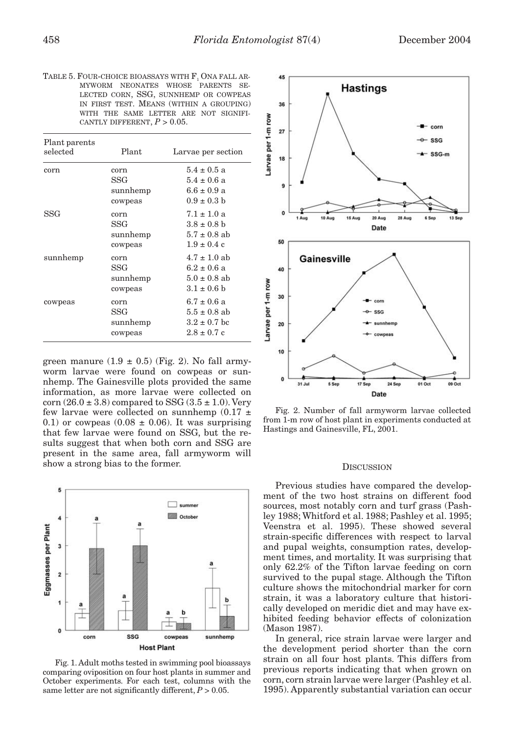TABLE 5. FOUR-CHOICE BIOASSAYS WITH F, ONA FALL AR-MYWORM NEONATES WHOSE PARENTS SE-LECTED CORN, SSG, SUNNHEMP OR COWPEAS IN FIRST TEST. MEANS (WITHIN A GROUPING) WITH THE SAME LETTER ARE NOT SIGNIFI-CANTLY DIFFERENT,  $P > 0.05$ .

| Plant parents<br>selected | Plant.                             | Larvae per section                                                                |
|---------------------------|------------------------------------|-----------------------------------------------------------------------------------|
| corn                      | corn<br>SSG<br>sunnhemp<br>cowpeas | $5.4 \pm 0.5$ a<br>$5.4 \pm 0.6$ a<br>$6.6 \pm 0.9 a$<br>$0.9 \pm 0.3$ b          |
| SSG                       | corn<br>SSG<br>sunnhemp<br>cowpeas | $7.1 \pm 1.0 \text{ a}$<br>$3.8 \pm 0.8$ b<br>$5.7 \pm 0.8$ ab<br>$1.9 \pm 0.4$ c |
| sunnhemp                  | corn<br>SSG<br>sunnhemp<br>cowpeas | $4.7 \pm 1.0$ ab<br>$6.2 \pm 0.6$ a<br>$5.0 \pm 0.8$ ab<br>$3.1 \pm 0.6$ b        |
| cowpeas                   | corn<br>SSG<br>sunnhemp<br>cowpeas | $6.7 \pm 0.6$ a<br>$5.5 \pm 0.8$ ab<br>$3.2 \pm 0.7$ bc<br>$2.8 \pm 0.7$ c        |

green manure  $(1.9 \pm 0.5)$  (Fig. 2). No fall armyworm larvae were found on cowpeas or sunnhemp. The Gainesville plots provided the same information, as more larvae were collected on corn  $(26.0 \pm 3.8)$  compared to SSG  $(3.5 \pm 1.0)$ . Very few larvae were collected on sunnhemp  $(0.17 \pm 1)$ 0.1) or cowpeas (0.08  $\pm$  0.06). It was surprising that few larvae were found on SSG, but the results suggest that when both corn and SSG are present in the same area, fall armyworm will show a strong bias to the former. DISCUSSION



Fig. 1. Adult moths tested in swimming pool bioassays comparing oviposition on four host plants in summer and October experiments. For each test, columns with the same letter are not significantly different,  $P > 0.05$ .



Fig. 2. Number of fall armyworm larvae collected from 1-m row of host plant in experiments conducted at Hastings and Gainesville, FL, 2001.

Previous studies have compared the development of the two host strains on different food sources, most notably corn and turf grass (Pashley 1988; Whitford et al. 1988; Pashley et al. 1995; Veenstra et al. 1995). These showed several strain-specific differences with respect to larval and pupal weights, consumption rates, development times, and mortality. It was surprising that only 62.2% of the Tifton larvae feeding on corn survived to the pupal stage. Although the Tifton culture shows the mitochondrial marker for corn strain, it was a laboratory culture that historically developed on meridic diet and may have exhibited feeding behavior effects of colonization (Mason 1987).

In general, rice strain larvae were larger and the development period shorter than the corn strain on all four host plants. This differs from previous reports indicating that when grown on corn, corn strain larvae were larger (Pashley et al. 1995). Apparently substantial variation can occur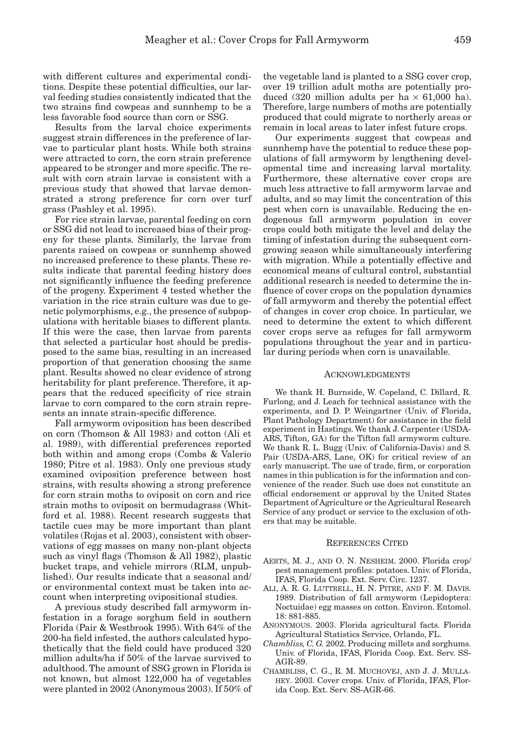with different cultures and experimental conditions. Despite these potential difficulties, our larval feeding studies consistently indicated that the two strains find cowpeas and sunnhemp to be a less favorable food source than corn or SSG.

Results from the larval choice experiments suggest strain differences in the preference of larvae to particular plant hosts. While both strains were attracted to corn, the corn strain preference appeared to be stronger and more specific. The result with corn strain larvae is consistent with a previous study that showed that larvae demonstrated a strong preference for corn over turf grass (Pashley et al. 1995).

For rice strain larvae, parental feeding on corn or SSG did not lead to increased bias of their progeny for these plants. Similarly, the larvae from parents raised on cowpeas or sunnhemp showed no increased preference to these plants. These results indicate that parental feeding history does not significantly influence the feeding preference of the progeny. Experiment 4 tested whether the variation in the rice strain culture was due to genetic polymorphisms, e.g., the presence of subpopulations with heritable biases to different plants. If this were the case, then larvae from parents that selected a particular host should be predisposed to the same bias, resulting in an increased proportion of that generation choosing the same plant. Results showed no clear evidence of strong heritability for plant preference. Therefore, it appears that the reduced specificity of rice strain larvae to corn compared to the corn strain represents an innate strain-specific difference.

Fall armyworm oviposition has been described on corn (Thomson & All 1983) and cotton (Ali et al. 1989), with differential preferences reported both within and among crops (Combs & Valerio 1980; Pitre et al. 1983). Only one previous study examined oviposition preference between host strains, with results showing a strong preference for corn strain moths to oviposit on corn and rice strain moths to oviposit on bermudagrass (Whitford et al. 1988). Recent research suggests that tactile cues may be more important than plant volatiles (Rojas et al. 2003), consistent with observations of egg masses on many non-plant objects such as vinyl flags (Thomson & All 1982), plastic bucket traps, and vehicle mirrors (RLM, unpublished). Our results indicate that a seasonal and/ or environmental context must be taken into account when interpreting ovipositional studies.

A previous study described fall armyworm infestation in a forage sorghum field in southern Florida (Pair & Westbrook 1995). With 64% of the 200-ha field infested, the authors calculated hypothetically that the field could have produced 320 million adults/ha if 50% of the larvae survived to adulthood. The amount of SSG grown in Florida is not known, but almost 122,000 ha of vegetables were planted in 2002 (Anonymous 2003). If 50% of the vegetable land is planted to a SSG cover crop, over 19 trillion adult moths are potentially produced (320 million adults per ha  $\times$  61,000 ha). Therefore, large numbers of moths are potentially produced that could migrate to northerly areas or remain in local areas to later infest future crops.

Our experiments suggest that cowpeas and sunnhemp have the potential to reduce these populations of fall armyworm by lengthening developmental time and increasing larval mortality. Furthermore, these alternative cover crops are much less attractive to fall armyworm larvae and adults, and so may limit the concentration of this pest when corn is unavailable. Reducing the endogenous fall armyworm population in cover crops could both mitigate the level and delay the timing of infestation during the subsequent corngrowing season while simultaneously interfering with migration. While a potentially effective and economical means of cultural control, substantial additional research is needed to determine the influence of cover crops on the population dynamics of fall armyworm and thereby the potential effect of changes in cover crop choice. In particular, we need to determine the extent to which different cover crops serve as refuges for fall armyworm populations throughout the year and in particular during periods when corn is unavailable.

## ACKNOWLEDGMENTS

We thank H. Burnside, W. Copeland, C. Dillard, R. Furlong, and J. Leach for technical assistance with the experiments, and D. P. Weingartner (Univ. of Florida, Plant Pathology Department) for assistance in the field experiment in Hastings. We thank J. Carpenter (USDA-ARS, Tifton, GA) for the Tifton fall armyworm culture. We thank R. L. Bugg (Univ. of California-Davis) and S. Pair (USDA-ARS, Lane, OK) for critical review of an early manuscript. The use of trade, firm, or corporation names in this publication is for the information and convenience of the reader. Such use does not constitute an official endorsement or approval by the United States Department of Agriculture or the Agricultural Research Service of any product or service to the exclusion of others that may be suitable.

#### REFERENCES CITED

- AERTS, M. J., AND O. N. NESHEIM. 2000. Florida crop/ pest management profiles: potatoes. Univ. of Florida, IFAS, Florida Coop. Ext. Serv. Circ. 1237.
- ALI, A. R. G. LUTTRELL, H. N. PITRE, AND F. M. DAVIS. 1989. Distribution of fall armyworm (Lepidoptera: Noctuidae) egg masses on cotton. Environ. Entomol. 18: 881-885.
- ANONYMOUS. 2003. Florida agricultural facts. Florida Agricultural Statistics Service, Orlando, FL.
- *Chambliss, C. G.* 2002. Producing millets and sorghums. Univ. of Florida, IFAS, Florida Coop. Ext. Serv. SS-AGR-89.
- CHAMBLISS, C. G., R. M. MUCHOVEJ, AND J. J. MULLA-HEY. 2003. Cover crops. Univ. of Florida, IFAS, Florida Coop. Ext. Serv. SS-AGR-66.